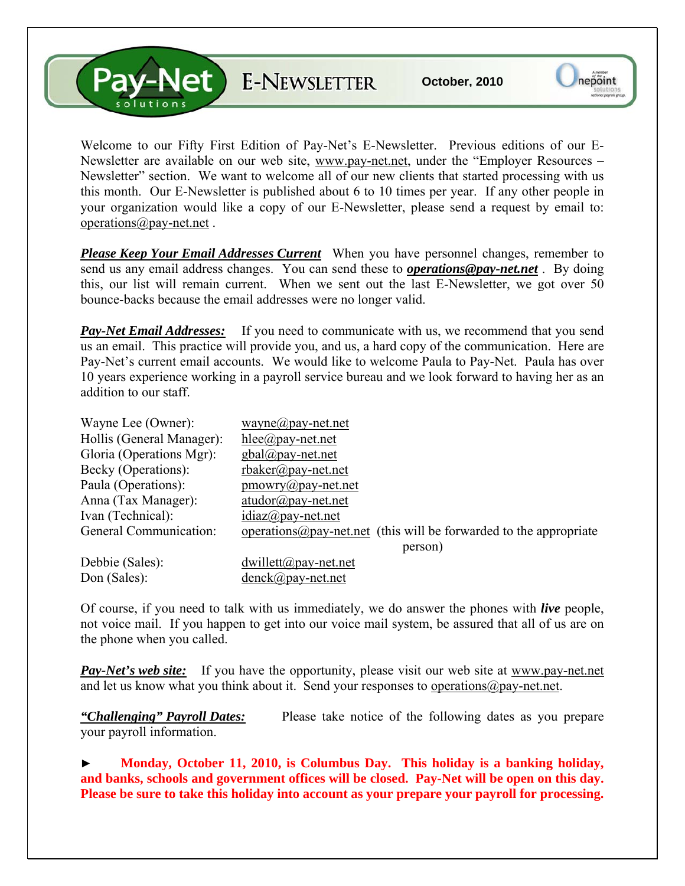**Pav-Net** E-NEWSLETTER

Welcome to our Fifty First Edition of Pay-Net's E-Newsletter. Previous editions of our E-Newsletter are available on our web site, [www.pay-net.net](http://www.pay-net.net/), under the "Employer Resources – Newsletter" section. We want to welcome all of our new clients that started processing with us this month. Our E-Newsletter is published about 6 to 10 times per year. If any other people in your organization would like a copy of our E-Newsletter, please send a request by email to: [operations@pay-net.net](mailto:operations@pay-net.net) .

*Please Keep Your Email Addresses Current* When you have personnel changes, remember to send us any email address changes. You can send these to *[operations@pay-net.net](mailto:operations@pay-net.net)* . By doing this, our list will remain current. When we sent out the last E-Newsletter, we got over 50 bounce-backs because the email addresses were no longer valid.

*Pay-Net Email Addresses:* If you need to communicate with us, we recommend that you send us an email. This practice will provide you, and us, a hard copy of the communication. Here are Pay-Net's current email accounts. We would like to welcome Paula to Pay-Net. Paula has over 10 years experience working in a payroll service bureau and we look forward to having her as an addition to our staff.

| Wayne Lee (Owner):        | wayne@pay-net.net                                                          |
|---------------------------|----------------------------------------------------------------------------|
| Hollis (General Manager): | hlee@pay-net.net                                                           |
| Gloria (Operations Mgr):  | $gbal(\partial \rho)$ ay-net.net                                           |
| Becky (Operations):       | $r$ baker@pay-net.net                                                      |
| Paula (Operations):       | $\text{p}$ mowry@pay-net.net                                               |
| Anna (Tax Manager):       | $atudor@pay-net.net$                                                       |
| Ivan (Technical):         | $idiaz(\partial p$ ay-net.net                                              |
| General Communication:    | operations $\omega$ pay-net net (this will be forwarded to the appropriate |
|                           | person)                                                                    |
| Debbie (Sales):           | $dwillet(a)$ pay-net.net                                                   |
| Don (Sales):              | $denck@pay-net.net$                                                        |

Of course, if you need to talk with us immediately, we do answer the phones with *live* people, not voice mail. If you happen to get into our voice mail system, be assured that all of us are on the phone when you called.

**Pay-Net's web site:** If you have the opportunity, please visit our web site at www.pay-net.net and let us know what you think about it. Send your responses to [operations@pay-net.net](mailto:website@pay-net.net).

*"Challenging" Payroll Dates:* Please take notice of the following dates as you prepare your payroll information.

► **Monday, October 11, 2010, is Columbus Day. This holiday is a banking holiday, and banks, schools and government offices will be closed. Pay-Net will be open on this day. Please be sure to take this holiday into account as your prepare your payroll for processing.**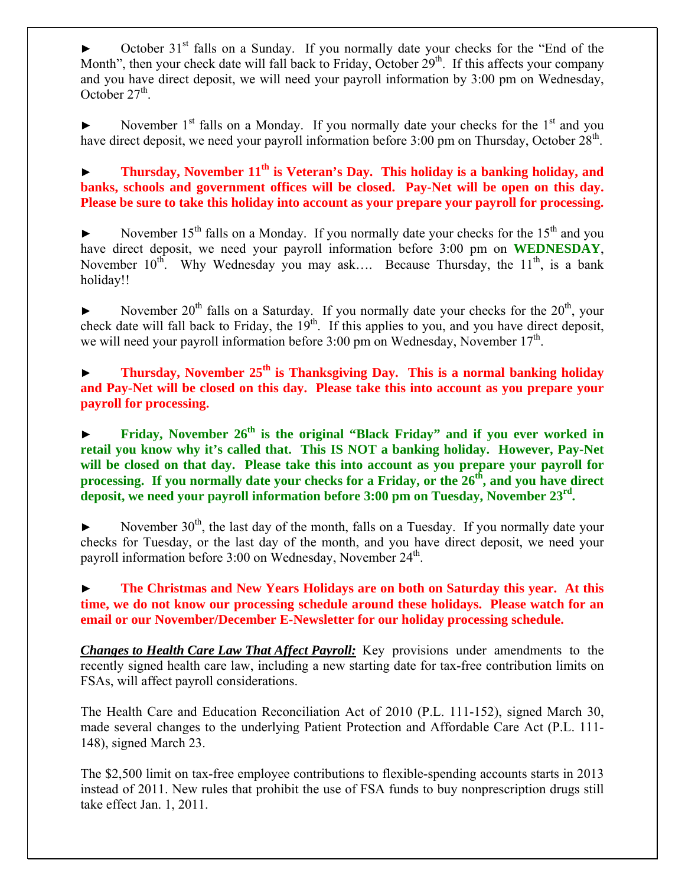October 31<sup>st</sup> falls on a Sunday. If you normally date your checks for the "End of the Month", then your check date will fall back to Friday, October  $29<sup>th</sup>$ . If this affects your company and you have direct deposit, we will need your payroll information by 3:00 pm on Wednesday, October  $27<sup>th</sup>$ .

November  $1<sup>st</sup>$  falls on a Monday. If you normally date your checks for the  $1<sup>st</sup>$  and you have direct deposit, we need your payroll information before 3:00 pm on Thursday, October 28<sup>th</sup>.

► **Thursday, November 11th is Veteran's Day. This holiday is a banking holiday, and banks, schools and government offices will be closed. Pay-Net will be open on this day. Please be sure to take this holiday into account as your prepare your payroll for processing.** 

November  $15<sup>th</sup>$  falls on a Monday. If you normally date your checks for the  $15<sup>th</sup>$  and you have direct deposit, we need your payroll information before 3:00 pm on **WEDNESDAY**, November  $10^{th}$ . Why Wednesday you may ask.... Because Thursday, the  $11^{th}$ , is a bank holiday!!

November  $20^{th}$  falls on a Saturday. If you normally date your checks for the  $20^{th}$ , your check date will fall back to Friday, the  $19<sup>th</sup>$ . If this applies to you, and you have direct deposit, we will need your payroll information before  $3:00$  pm on Wednesday, November  $17<sup>th</sup>$ .

**Thursday, November 25<sup>th</sup> is Thanksgiving Day. This is a normal banking holiday and Pay-Net will be closed on this day. Please take this into account as you prepare your payroll for processing.** 

► **Friday, November 26th is the original "Black Friday" and if you ever worked in retail you know why it's called that. This IS NOT a banking holiday. However, Pay-Net will be closed on that day. Please take this into account as you prepare your payroll for processing.** If you normally date your checks for a Friday, or the 26<sup>th</sup>, and you have direct **deposit, we need your payroll information before 3:00 pm on Tuesday, November 23rd.** 

November  $30<sup>th</sup>$ , the last day of the month, falls on a Tuesday. If you normally date your checks for Tuesday, or the last day of the month, and you have direct deposit, we need your payroll information before 3:00 on Wednesday, November 24<sup>th</sup>.

► **The Christmas and New Years Holidays are on both on Saturday this year. At this time, we do not know our processing schedule around these holidays. Please watch for an email or our November/December E-Newsletter for our holiday processing schedule.** 

*Changes to Health Care Law That Affect Payroll:* Key provisions under amendments to the recently signed health care law, including a new starting date for tax-free contribution limits on FSAs, will affect payroll considerations.

The Health Care and Education Reconciliation Act of 2010 (P.L. 111-152), signed March 30, made several changes to the underlying Patient Protection and Affordable Care Act (P.L. 111- 148), signed March 23.

The \$2,500 limit on tax-free employee contributions to flexible-spending accounts starts in 2013 instead of 2011. New rules that prohibit the use of FSA funds to buy nonprescription drugs still take effect Jan. 1, 2011.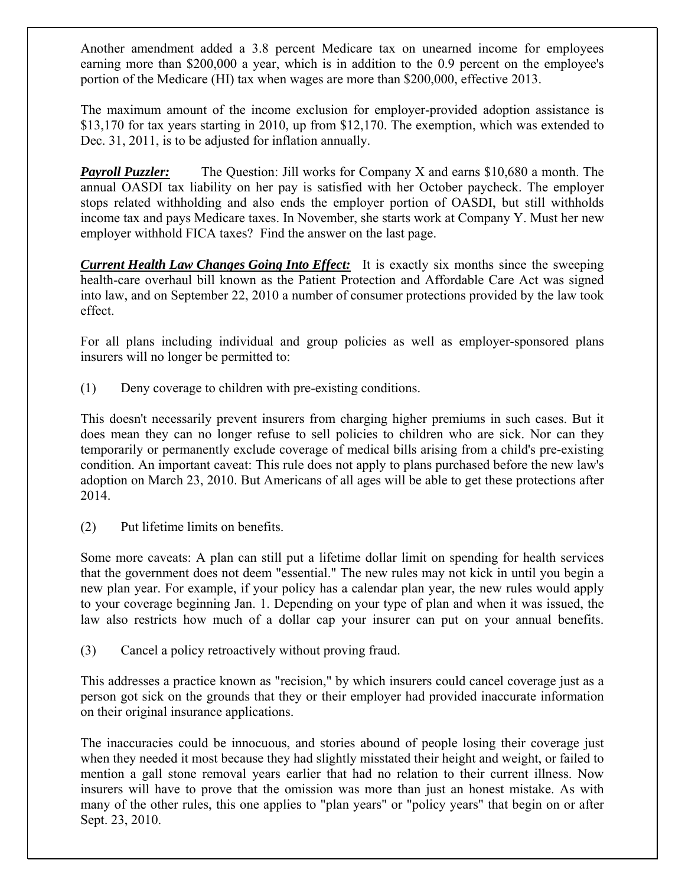Another amendment added a 3.8 percent Medicare tax on unearned income for employees earning more than \$200,000 a year, which is in addition to the 0.9 percent on the employee's portion of the Medicare (HI) tax when wages are more than \$200,000, effective 2013.

The maximum amount of the income exclusion for employer-provided adoption assistance is \$13,170 for tax years starting in 2010, up from \$12,170. The exemption, which was extended to Dec. 31, 2011, is to be adjusted for inflation annually.

*Payroll Puzzler:* The Question: Jill works for Company X and earns \$10,680 a month. The annual OASDI tax liability on her pay is satisfied with her October paycheck. The employer stops related withholding and also ends the employer portion of OASDI, but still withholds income tax and pays Medicare taxes. In November, she starts work at Company Y. Must her new employer withhold FICA taxes? Find the answer on the last page.

*Current Health Law Changes Going Into Effect:* It is exactly six months since the sweeping health-care overhaul bill known as the Patient Protection and Affordable Care Act was signed into law, and on September 22, 2010 a number of consumer protections provided by the law took effect.

For all plans including individual and group policies as well as employer-sponsored plans insurers will no longer be permitted to:

(1) Deny coverage to children with pre-existing conditions.

This doesn't necessarily prevent insurers from charging higher premiums in such cases. But it does mean they can no longer refuse to sell policies to children who are sick. Nor can they temporarily or permanently exclude coverage of medical bills arising from a child's pre-existing condition. An important caveat: This rule does not apply to plans purchased before the new law's adoption on March 23, 2010. But Americans of all ages will be able to get these protections after 2014.

(2) Put lifetime limits on benefits.

Some more caveats: A plan can still put a lifetime dollar limit on spending for health services that the government does not deem "essential." The new rules may not kick in until you begin a new plan year. For example, if your policy has a calendar plan year, the new rules would apply to your coverage beginning Jan. 1. Depending on your type of plan and when it was issued, the law also restricts how much of a dollar cap your insurer can put on your annual benefits.

(3) Cancel a policy retroactively without proving fraud.

This addresses a practice known as "recision," by which insurers could cancel coverage just as a person got sick on the grounds that they or their employer had provided inaccurate information on their original insurance applications.

The inaccuracies could be innocuous, and stories abound of people losing their coverage just when they needed it most because they had slightly misstated their height and weight, or failed to mention a gall stone removal years earlier that had no relation to their current illness. Now insurers will have to prove that the omission was more than just an honest mistake. As with many of the other rules, this one applies to "plan years" or "policy years" that begin on or after Sept. 23, 2010.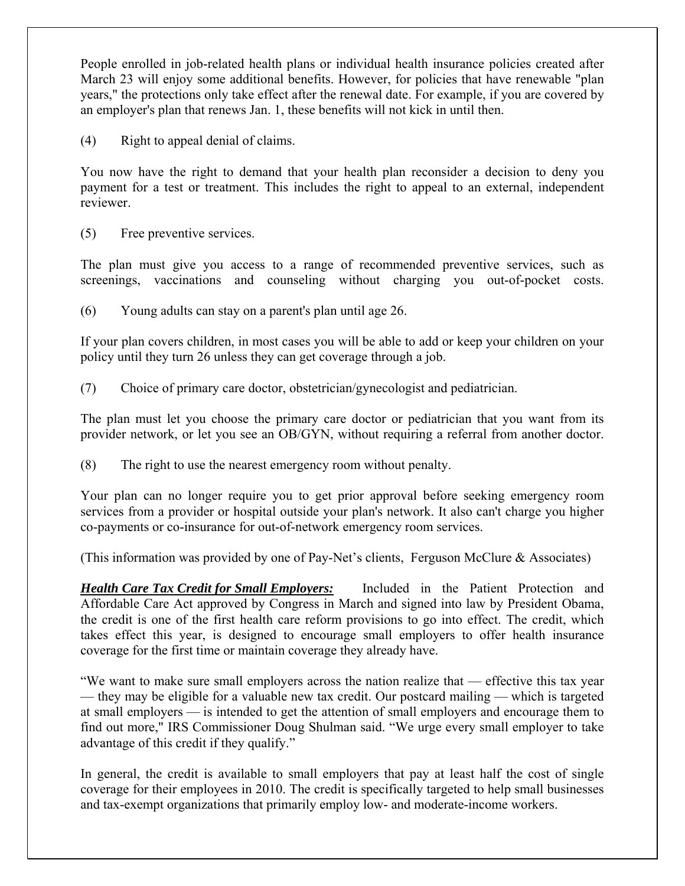People enrolled in job-related health plans or individual health insurance policies created after March 23 will enjoy some additional benefits. However, for policies that have renewable "plan years," the protections only take effect after the renewal date. For example, if you are covered by an employer's plan that renews Jan. 1, these benefits will not kick in until then.

(4) Right to appeal denial of claims.

You now have the right to demand that your health plan reconsider a decision to deny you payment for a test or treatment. This includes the right to appeal to an external, independent reviewer.

(5) Free preventive services.

The plan must give you access to a range of recommended preventive services, such as screenings, vaccinations and counseling without charging you out-of-pocket costs.

(6) Young adults can stay on a parent's plan until age 26.

If your plan covers children, in most cases you will be able to add or keep your children on your policy until they turn 26 unless they can get coverage through a job.

(7) Choice of primary care doctor, obstetrician/gynecologist and pediatrician.

The plan must let you choose the primary care doctor or pediatrician that you want from its provider network, or let you see an OB/GYN, without requiring a referral from another doctor.

(8) The right to use the nearest emergency room without penalty.

Your plan can no longer require you to get prior approval before seeking emergency room services from a provider or hospital outside your plan's network. It also can't charge you higher co-payments or co-insurance for out-of-network emergency room services.

(This information was provided by one of Pay-Net's clients, Ferguson McClure  $\&$  Associates)

*Health Care Tax Credit for Small Employers:* Included in the Patient Protection and Affordable Care Act approved by Congress in March and signed into law by President Obama, the credit is one of the first health care reform provisions to go into effect. The credit, which takes effect this year, is designed to encourage small employers to offer health insurance coverage for the first time or maintain coverage they already have.

"We want to make sure small employers across the nation realize that — effective this tax year — they may be eligible for a valuable new tax credit. Our postcard mailing — which is targeted at small employers — is intended to get the attention of small employers and encourage them to find out more," IRS Commissioner Doug Shulman said. "We urge every small employer to take advantage of this credit if they qualify."

In general, the credit is available to small employers that pay at least half the cost of single coverage for their employees in 2010. The credit is specifically targeted to help small businesses and tax-exempt organizations that primarily employ low- and moderate-income workers.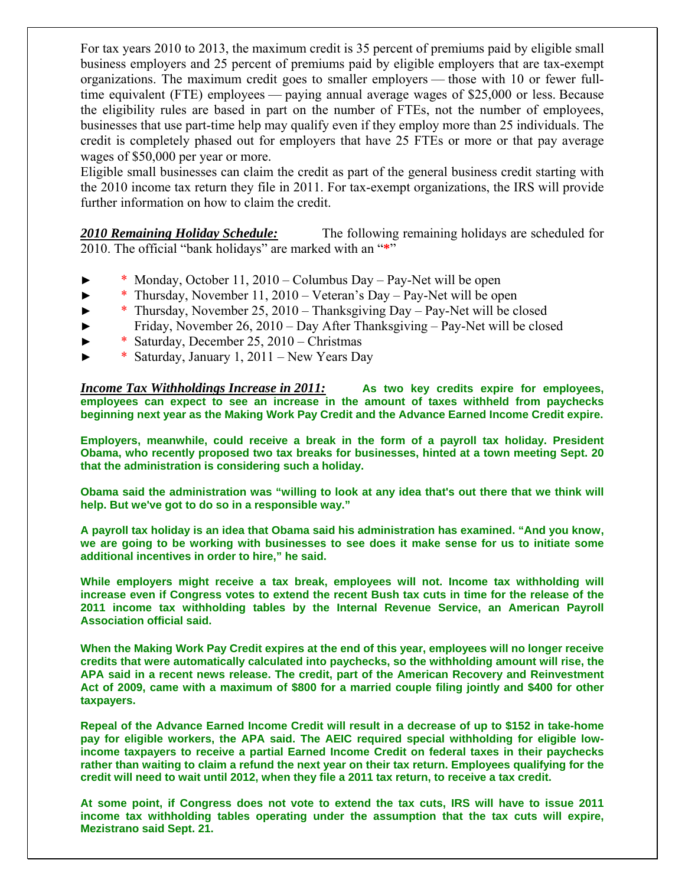For tax years 2010 to 2013, the maximum credit is 35 percent of premiums paid by eligible small business employers and 25 percent of premiums paid by eligible employers that are tax-exempt organizations. The maximum credit goes to smaller employers — those with 10 or fewer fulltime equivalent (FTE) employees — paying annual average wages of \$25,000 or less. Because the eligibility rules are based in part on the number of FTEs, not the number of employees, businesses that use part-time help may qualify even if they employ more than 25 individuals. The credit is completely phased out for employers that have 25 FTEs or more or that pay average wages of \$50,000 per year or more.

Eligible small businesses can claim the credit as part of the general business credit starting with the 2010 income tax return they file in 2011. For tax-exempt organizations, the IRS will provide further information on how to claim the credit.

*2010 Remaining Holiday Schedule:* The following remaining holidays are scheduled for 2010. The official "bank holidays" are marked with an "**\***"

- $*$  Monday, October 11, 2010 Columbus Day Pay-Net will be open
- ► \* Thursday, November 11, 2010 Veteran's Day Pay-Net will be open
- ► \* Thursday, November 25, 2010 Thanksgiving Day Pay-Net will be closed
- ► Friday, November 26, 2010 Day After Thanksgiving Pay-Net will be closed
- ► \* Saturday, December 25, 2010 Christmas
- ► \* Saturday, January 1, 2011 New Years Day

*Income Tax Withholdings Increase in 2011:* **As two key credits expire for employees, employees can expect to see an increase in the amount of taxes withheld from paychecks beginning next year as the Making Work Pay Credit and the Advance Earned Income Credit expire.** 

**Employers, meanwhile, could receive a break in the form of a payroll tax holiday. President Obama, who recently proposed two tax breaks for businesses, hinted at a town meeting Sept. 20 that the administration is considering such a holiday.** 

**Obama said the administration was "willing to look at any idea that's out there that we think will help. But we've got to do so in a responsible way."** 

**A payroll tax holiday is an idea that Obama said his administration has examined. "And you know, we are going to be working with businesses to see does it make sense for us to initiate some additional incentives in order to hire," he said.** 

**While employers might receive a tax break, employees will not. Income tax withholding will increase even if Congress votes to extend the recent Bush tax cuts in time for the release of the 2011 income tax withholding tables by the Internal Revenue Service, an American Payroll Association official said.** 

**When the Making Work Pay Credit expires at the end of this year, employees will no longer receive credits that were automatically calculated into paychecks, so the withholding amount will rise, the APA said in a recent news release. The credit, part of the American Recovery and Reinvestment Act of 2009, came with a maximum of \$800 for a married couple filing jointly and \$400 for other taxpayers.** 

**Repeal of the Advance Earned Income Credit will result in a decrease of up to \$152 in take-home pay for eligible workers, the APA said. The AEIC required special withholding for eligible lowincome taxpayers to receive a partial Earned Income Credit on federal taxes in their paychecks rather than waiting to claim a refund the next year on their tax return. Employees qualifying for the credit will need to wait until 2012, when they file a 2011 tax return, to receive a tax credit.** 

**At some point, if Congress does not vote to extend the tax cuts, IRS will have to issue 2011 income tax withholding tables operating under the assumption that the tax cuts will expire, Mezistrano said Sept. 21.**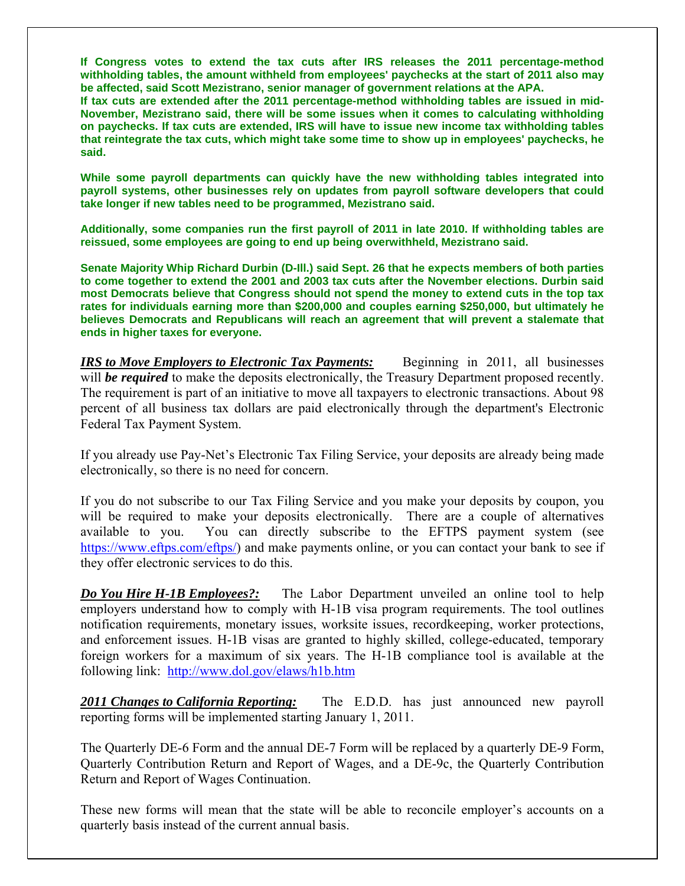**If Congress votes to extend the tax cuts after IRS releases the 2011 percentage-method withholding tables, the amount withheld from employees' paychecks at the start of 2011 also may be affected, said Scott Mezistrano, senior manager of government relations at the APA.** 

**If tax cuts are extended after the 2011 percentage-method withholding tables are issued in mid-November, Mezistrano said, there will be some issues when it comes to calculating withholding on paychecks. If tax cuts are extended, IRS will have to issue new income tax withholding tables that reintegrate the tax cuts, which might take some time to show up in employees' paychecks, he said.** 

**While some payroll departments can quickly have the new withholding tables integrated into payroll systems, other businesses rely on updates from payroll software developers that could take longer if new tables need to be programmed, Mezistrano said.** 

**Additionally, some companies run the first payroll of 2011 in late 2010. If withholding tables are reissued, some employees are going to end up being overwithheld, Mezistrano said.** 

**Senate Majority Whip Richard Durbin (D-Ill.) said Sept. 26 that he expects members of both parties to come together to extend the 2001 and 2003 tax cuts after the November elections. Durbin said most Democrats believe that Congress should not spend the money to extend cuts in the top tax rates for individuals earning more than \$200,000 and couples earning \$250,000, but ultimately he believes Democrats and Republicans will reach an agreement that will prevent a stalemate that ends in higher taxes for everyone.** 

*IRS to Move Employers to Electronic Tax Payments:* **Beginning in 2011, all businesses** will **be required** to make the deposits electronically, the Treasury Department proposed recently. The requirement is part of an initiative to move all taxpayers to electronic transactions. About 98 percent of all business tax dollars are paid electronically through the department's Electronic Federal Tax Payment System.

If you already use Pay-Net's Electronic Tax Filing Service, your deposits are already being made electronically, so there is no need for concern.

If you do not subscribe to our Tax Filing Service and you make your deposits by coupon, you will be required to make your deposits electronically. There are a couple of alternatives available to you. You can directly subscribe to the EFTPS payment system (see <https://www.eftps.com/eftps/>) and make payments online, or you can contact your bank to see if they offer electronic services to do this.

*Do You Hire H-1B Employees?:* The Labor Department unveiled an online tool to help employers understand how to comply with H-1B visa program requirements. The tool outlines notification requirements, monetary issues, worksite issues, recordkeeping, worker protections, and enforcement issues. H-1B visas are granted to highly skilled, college-educated, temporary foreign workers for a maximum of six years. The H-1B compliance tool is available at the following link: <http://www.dol.gov/elaws/h1b.htm>

*2011 Changes to California Reporting:* The E.D.D. has just announced new payroll reporting forms will be implemented starting January 1, 2011.

The Quarterly DE-6 Form and the annual DE-7 Form will be replaced by a quarterly DE-9 Form, Quarterly Contribution Return and Report of Wages, and a DE-9c, the Quarterly Contribution Return and Report of Wages Continuation.

These new forms will mean that the state will be able to reconcile employer's accounts on a quarterly basis instead of the current annual basis.